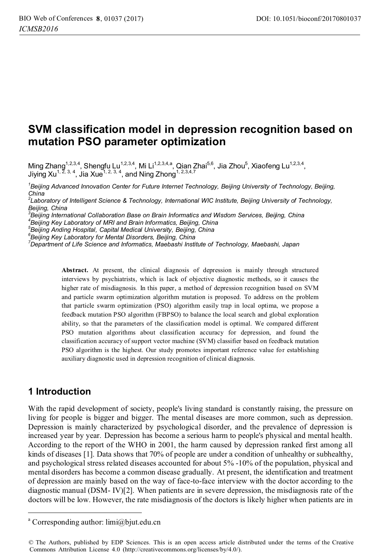# **SVM classification model in depression recognition based on mutation PSO parameter optimization**

Ming Zhang<sup>1,2,3,4</sup>, Shengfu Lu<sup>1,2,3,4</sup>, Mi Li<sup>1,2,3,4,a</sup>, Qian Zhai<sup>5,6</sup>, Jia Zhou<sup>5</sup>, Xiaofeng Lu<sup>1,2,3,4</sup>, Jiying Xu<sup>1, 2, 3, 4</sup>, Jia Xue<sup>1, 2, 3, 4</sup>, and Ning Zhong<sup>1, 2,3,4,7</sup>

*1 Beijing Advanced Innovation Center for Future Internet Technology, Beijing University of Technology, Beijing, China* 

*2 Laboratory of Intelligent Science & Technology, International WIC Institute, Beijing University of Technology, Beijing, China* 

*4 Beijing Key Laboratory of MRI and Brain Informatics, Beijing, China* 

*5 Beijing Anding Hospital, Capital Medical University, Beijing, China* 

*6 Beijing Key Laboratory for Mental Disorders, Beijing, China* 

*7 Department of Life Science and Informatics, Maebashi Institute of Technology, Maebashi, Japan* 

**Abstract.** At present, the clinical diagnosis of depression is mainly through structured interviews by psychiatrists, which is lack of objective diagnostic methods, so it causes the higher rate of misdiagnosis. In this paper, a method of depression recognition based on SVM and particle swarm optimization algorithm mutation is proposed. To address on the problem that particle swarm optimization (PSO) algorithm easily trap in local optima, we propose a feedback mutation PSO algorithm (FBPSO) to balance the local search and global exploration ability, so that the parameters of the classification model is optimal. We compared different PSO mutation algorithms about classification accuracy for depression, and found the classification accuracy of support vector machine (SVM) classifier based on feedback mutation PSO algorithm is the highest. Our study promotes important reference value for establishing auxiliary diagnostic used in depression recognition of clinical diagnosis.

## **1 Introduction**

 $\overline{a}$ 

With the rapid development of society, people's living standard is constantly raising, the pressure on living for people is bigger and bigger. The mental diseases are more common, such as depression. Depression is mainly characterized by psychological disorder, and the prevalence of depression is increased year by year. Depression has become a serious harm to people's physical and mental health. According to the report of the WHO in 2001, the harm caused by depression ranked first among all kinds of diseases [1]. Data shows that 70% of people are under a condition of unhealthy or subhealthy, and psychological stress related diseases accounted for about 5% -10% of the population, physical and mental disorders has become a common disease gradually. At present, the identification and treatment of depression are mainly based on the way of face-to-face interview with the doctor according to the diagnostic manual (DSM- IV)[2]. When patients are in severe depression, the misdiagnosis rate of the doctors will be low. However, the rate misdiagnosis of the doctors is likely higher when patients are in

*<sup>3</sup> Beijing International Collaboration Base on Brain Informatics and Wisdom Services, Beijing, China* 

a Corresponding author: limi@bjut.edu.cn

<sup>©</sup> The Authors, published by EDP Sciences. This is an open access article distributed under the terms of the Creative Commons Attribution License 4.0 (http://creativecommons.org/licenses/by/4.0/).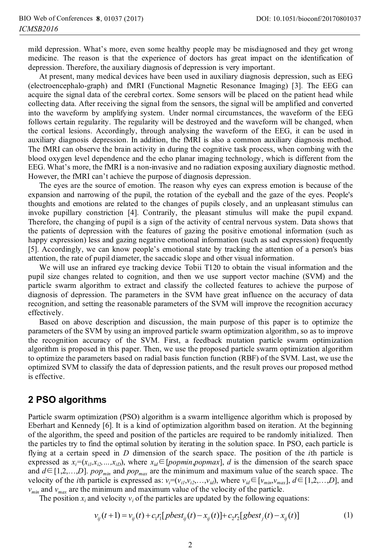mild depression. What's more, even some healthy people may be misdiagnosed and they get wrong medicine. The reason is that the experience of doctors has great impact on the identification of depression. Therefore, the auxiliary diagnosis of depression is very important.

At present, many medical devices have been used in auxiliary diagnosis depression, such as EEG (electroencephalo-graph) and fMRI (Functional Magnetic Resonance Imaging) [3]. The EEG can acquire the signal data of the cerebral cortex. Some sensors will be placed on the patient head while collecting data. After receiving the signal from the sensors, the signal will be amplified and converted into the waveform by amplifying system. Under normal circumstances, the waveform of the EEG follows certain regularity. The regularity will be destroyed and the waveform will be changed, when the cortical lesions. Accordingly, through analysing the waveform of the EEG, it can be used in auxiliary diagnosis depression. In addition, the fMRI is also a common auxiliary diagnosis method. The fMRI can observe the brain activity in during the cognitive task process, when combing with the blood oxygen level dependence and the echo planar imaging technology, which is different from the EEG. What's more, the fMRI is a non-invasive and no radiation exposing auxiliary diagnostic method. However, the fMRI can't achieve the purpose of diagnosis depression.

The eyes are the source of emotion. The reason why eyes can express emotion is because of the expansion and narrowing of the pupil, the rotation of the eyeball and the gaze of the eyes. People's thoughts and emotions are related to the changes of pupils closely, and an unpleasant stimulus can invoke pupillary constriction [4]. Contrarily, the pleasant stimulus will make the pupil expand. Therefore, the changing of pupil is a sign of the activity of central nervous system. Data shows that the patients of depression with the features of gazing the positive emotional information (such as happy expression) less and gazing negative emotional information (such as sad expression) frequently [5]. Accordingly, we can know people's emotional state by tracking the attention of a person's bias attention, the rate of pupil diameter, the saccadic slope and other visual information.

We will use an infrared eye tracking device Tobii T120 to obtain the visual information and the pupil size changes related to cognition, and then we use support vector machine (SVM) and the particle swarm algorithm to extract and classify the collected features to achieve the purpose of diagnosis of depression. The parameters in the SVM have great influence on the accuracy of data recognition, and setting the reasonable parameters of the SVM will improve the recognition accuracy effectively.

Based on above description and discussion, the main purpose of this paper is to optimize the parameters of the SVM by using an improved particle swarm optimization algorithm, so as to improve the recognition accuracy of the SVM. First, a feedback mutation particle swarm optimization algorithm is proposed in this paper. Then, we use the proposed particle swarm optimization algorithm to optimize the parameters based on radial basis function function (RBF) of the SVM. Last, we use the optimized SVM to classify the data of depression patients, and the result proves our proposed method is effective.

### **2 PSO algorithms**

Particle swarm optimization (PSO) algorithm is a swarm intelligence algorithm which is proposed by Eberhart and Kennedy [6]. It is a kind of optimization algorithm based on iteration. At the beginning of the algorithm, the speed and position of the particles are required to be randomly initialized. Then the particles try to find the optimal solution by iterating in the solution space. In PSO, each particle is flying at a certain speed in *D* dimension of the search space. The position of the *i*th particle is expressed as  $x_i = (x_{i1}, x_{i2},...,x_{iD})$ , where  $x_{id} \in [popmin, popmax]$ , *d* is the dimension of the search space and  $d \in [1,2,...,D]$ . *pop<sub>min</sub>* and *pop<sub>max</sub>* are the minimum and maximum value of the search space. The velocity of the *i*th particle is expressed as:  $v_i=(v_{i1},v_{i2},...,v_{id})$ , where  $v_{id} \in [v_{min},v_{max}]$ ,  $d \in [1,2,...,D]$ , and  $v_{min}$  and  $v_{max}$  are the minimum and maximum value of the velocity of the particle.

The position  $x_i$  and velocity  $v_i$  of the particles are updated by the following equations:

$$
v_{ij}(t+1) = v_{ij}(t) + c_1 r_1 [pbest_{ij}(t) - x_{ij}(t)] + c_2 r_2 [gbest_j(t) - x_{ij}(t)]
$$
\n(1)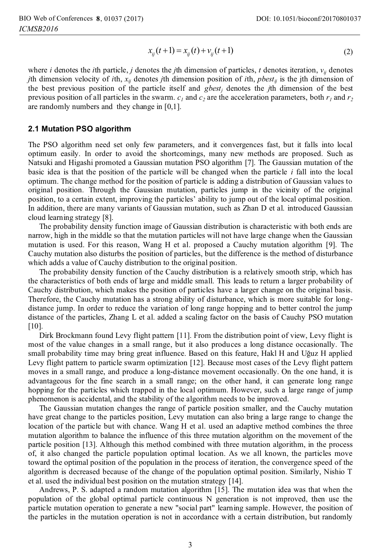$$
x_{ij}(t+1) = x_{ij}(t) + v_{ij}(t+1)
$$
 (2)

where *i* denotes the *i*th particle, *j* denotes the *j*th dimension of particles, *t* denotes iteration,  $v_{ij}$  denotes *j*th dimension velocity of *i*th,  $x_{ij}$  denotes *j*th dimension position of *i*th, *pbest<sub>ij</sub>* is the jth dimension of the best previous position of the particle itself and *gbestj* denotes the *j*th dimension of the best previous position of all particles in the swarm.  $c_1$  and  $c_2$  are the acceleration parameters, both  $r_1$  and  $r_2$ are randomly numbers and they change in [0,1].

#### **2.1 Mutation PSO algorithm**

The PSO algorithm need set only few parameters, and it convergences fast, but it falls into local optimum easily. In order to avoid the shortcomings, many new methods are proposed. Such as Natsuki and Higashi promoted a Gaussian mutation PSO algorithm [7]. The Gaussian mutation of the basic idea is that the position of the particle will be changed when the particle *i* fall into the local optimum. The change method for the position of particle is adding a distribution of Gaussian values to original position. Through the Gaussian mutation, particles jump in the vicinity of the original position, to a certain extent, improving the particles' ability to jump out of the local optimal position. In addition, there are many variants of Gaussian mutation, such as Zhan D et al. introduced Gaussian cloud learning strategy [8].

The probability density function image of Gaussian distribution is characteristic with both ends are narrow, high in the middle so that the mutation particles will not have large change when the Gaussian mutation is used. For this reason, Wang H et al. proposed a Cauchy mutation algorithm [9]. The Cauchy mutation also disturbs the position of particles, but the difference is the method of disturbance which adds a value of Cauchy distribution to the original position.

The probability density function of the Cauchy distribution is a relatively smooth strip, which has the characteristics of both ends of large and middle small. This leads to return a larger probability of Cauchy distribution, which makes the position of particles have a larger change on the original basis. Therefore, the Cauchy mutation has a strong ability of disturbance, which is more suitable for longdistance jump. In order to reduce the variation of long range hopping and to better control the jump distance of the particles, Zhang L et al. added a scaling factor on the basis of Cauchy PSO mutation [10].

Dirk Brockmann found Levy flight pattern [11]. From the distribution point of view, Levy flight is most of the value changes in a small range, but it also produces a long distance occasionally. The small probability time may bring great influence. Based on this feature, Hakl H and Uğuz H applied Levy flight pattern to particle swarm optimization [12]. Because most cases of the Levy flight pattern moves in a small range, and produce a long-distance movement occasionally. On the one hand, it is advantageous for the fine search in a small range; on the other hand, it can generate long range hopping for the particles which trapped in the local optimum. However, such a large range of jump phenomenon is accidental, and the stability of the algorithm needs to be improved.

The Gaussian mutation changes the range of particle position smaller, and the Cauchy mutation have great change to the particles position, Levy mutation can also bring a large range to change the location of the particle but with chance. Wang H et al. used an adaptive method combines the three mutation algorithm to balance the influence of this three mutation algorithm on the movement of the particle position [13]. Although this method combined with three mutation algorithm, in the process of, it also changed the particle population optimal location. As we all known, the particles move toward the optimal position of the population in the process of iteration, the convergence speed of the algorithm is decreased because of the change of the population optimal position. Similarly, Nishio T et al. used the individual best position on the mutation strategy [14].

Andrews, P. S. adapted a random mutation algorithm [15]. The mutation idea was that when the population of the global optimal particle continuous N generation is not improved, then use the particle mutation operation to generate a new "social part" learning sample. However, the position of the particles in the mutation operation is not in accordance with a certain distribution, but randomly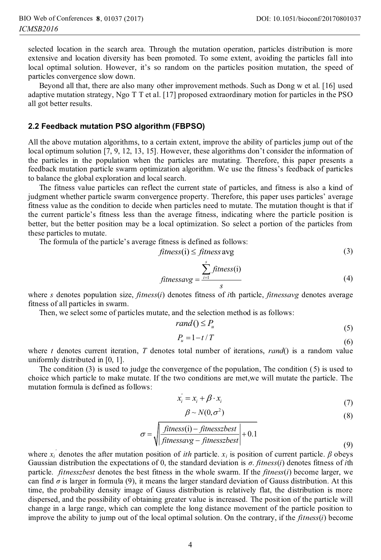selected location in the search area. Through the mutation operation, particles distribution is more extensive and location diversity has been promoted. To some extent, avoiding the particles fall into local optimal solution. However, it's so random on the particles position mutation, the speed of particles convergence slow down.

Beyond all that, there are also many other improvement methods. Such as Dong w et al. [16] used adaptive mutation strategy, Ngo T T et al. [17] proposed extraordinary motion for particles in the PSO all got better results.

#### **2.2 Feedback mutation PSO algorithm (FBPSO)**

All the above mutation algorithms, to a certain extent, improve the ability of particles jump out of the local optimum solution [7, 9, 12, 13, 15]. However, these algorithms don't consider the information of the particles in the population when the particles are mutating. Therefore, this paper presents a feedback mutation particle swarm optimization algorithm. We use the fitness's feedback of particles to balance the global exploration and local search.

The fitness value particles can reflect the current state of particles, and fitness is also a kind of judgment whether particle swarm convergence property. Therefore, this paper uses particles' average fitness value as the condition to decide when particles need to mutate. The mutation thought is that if the current particle's fitness less than the average fitness, indicating where the particle position is better, but the better position may be a local optimization. So select a portion of the particles from these particles to mutate.

The formula of the particle's average fitness is defined as follows:

$$
fitness(i) \leq fitness \, avg \tag{3}
$$

$$
fitnessavg = \frac{\sum_{i=1}^{s} fitness(i)}{s}
$$
 (4)

where *s* denotes population size, *fitness*(*i*) denotes fitness of *i*th particle, *fitnessavg* denotes average fitness of all particles in swarm.

Then, we select some of particles mutate, and the selection method is as follows:

$$
rand() \le P_u \tag{5}
$$

$$
P_u = 1 - t/T \tag{6}
$$

where *t* denotes current iteration, *T* denotes total number of iterations, *rand*() is a random value uniformly distributed in [0, 1].

The condition (3) is used to judge the convergence of the population, The condition (5) is used to choice which particle to make mutate. If the two conditions are met,we will mutate the particle. The mutation formula is defined as follows:

$$
x_i' = x_i + \beta \cdot x_i \tag{7}
$$

$$
\beta \sim N(0, \sigma^2) \tag{8}
$$

$$
\sigma = \sqrt{\frac{fitness(i) - fitnesszbest}{fitnessavg - fitnesszbest}} + 0.1
$$
\n(9)

where  $x_i$ <sup>'</sup> denotes the after mutation position of *ith* particle.  $x_i$  is position of current particle.  $\beta$  obeys Gaussian distribution the expectations of 0, the standard deviation is *σ*. *fitness*(*i*) denotes fitness of *i*th particle. *fitnesszbest* denotes the best fitness in the whole swarm. If the *fitness*(*i*) become larger, we can find *σ* is larger in formula (9), it means the larger standard deviation of Gauss distribution. At this time, the probability density image of Gauss distribution is relatively flat, the distribution is more dispersed, and the possibility of obtaining greater value is increased. The position of the particle will change in a large range, which can complete the long distance movement of the particle position to improve the ability to jump out of the local optimal solution. On the contrary, if the *fitness*(*i*) become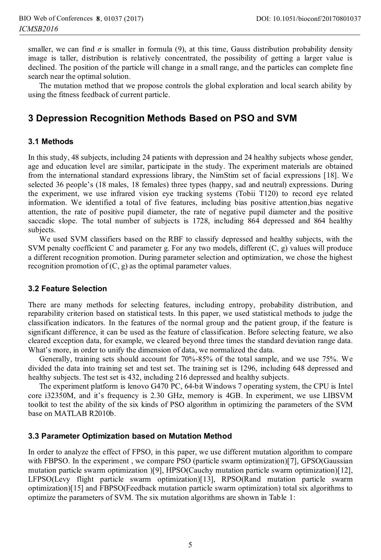smaller, we can find  $\sigma$  is smaller in formula (9), at this time, Gauss distribution probability density image is taller, distribution is relatively concentrated, the possibility of getting a larger value is declined. The position of the particle will change in a small range, and the particles can complete fine search near the optimal solution.

The mutation method that we propose controls the global exploration and local search ability by using the fitness feedback of current particle.

# **3 Depression Recognition Methods Based on PSO and SVM**

#### **3.1 Methods**

In this study, 48 subjects, including 24 patients with depression and 24 healthy subjects whose gender, age and education level are similar, participate in the study. The experiment materials are obtained from the international standard expressions library, the NimStim set of facial expressions [18]. We selected 36 people's (18 males, 18 females) three types (happy, sad and neutral) expressions. During the experiment, we use infrared vision eye tracking systems (Tobii T120) to record eye related information. We identified a total of five features, including bias positive attention,bias negative attention, the rate of positive pupil diameter, the rate of negative pupil diameter and the positive saccadic slope. The total number of subjects is 1728, including 864 depressed and 864 healthy subjects.

We used SVM classifiers based on the RBF to classify depressed and healthy subjects, with the SVM penalty coefficient C and parameter g. For any two models, different (C, g) values will produce a different recognition promotion. During parameter selection and optimization, we chose the highest recognition promotion of  $(C, g)$  as the optimal parameter values.

#### **3.2 Feature Selection**

There are many methods for selecting features, including entropy, probability distribution, and reparability criterion based on statistical tests. In this paper, we used statistical methods to judge the classification indicators. In the features of the normal group and the patient group, if the feature is significant difference, it can be used as the feature of classification. Before selecting feature, we also cleared exception data, for example, we cleared beyond three times the standard deviation range data. What's more, in order to unify the dimension of data, we normalized the data.

Generally, training sets should account for 70%-85% of the total sample, and we use 75%. We divided the data into training set and test set. The training set is 1296, including 648 depressed and healthy subjects. The test set is 432, including 216 depressed and healthy subjects.

The experiment platform is lenovo G470 PC, 64-bit Windows 7 operating system, the CPU is Intel core i32350M, and it's frequency is 2.30 GHz, memory is 4GB. In experiment, we use LIBSVM toolkit to test the ability of the six kinds of PSO algorithm in optimizing the parameters of the SVM base on MATLAB R2010b.

#### **3.3 Parameter Optimization based on Mutation Method**

In order to analyze the effect of FPSO, in this paper, we use different mutation algorithm to compare with FBPSO. In the experiment, we compare PSO (particle swarm optimization)[7], GPSO(Gaussian mutation particle swarm optimization )[9], HPSO(Cauchy mutation particle swarm optimization)[12], LFPSO(Levy flight particle swarm optimization)[13], RPSO(Rand mutation particle swarm optimization)[15] and FBPSO(Feedback mutation particle swarm optimization) total six algorithms to optimize the parameters of SVM. The six mutation algorithms are shown in Table 1: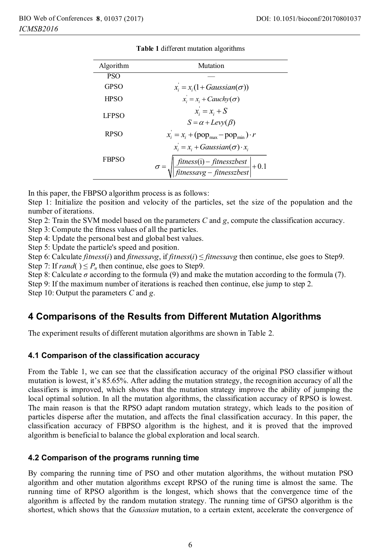| Algorithm    | Mutation                                                                                                                                |  |  |  |
|--------------|-----------------------------------------------------------------------------------------------------------------------------------------|--|--|--|
| <b>PSO</b>   |                                                                                                                                         |  |  |  |
| <b>GPSO</b>  | $x_i = x_i(1 + Gaussian(\sigma))$                                                                                                       |  |  |  |
| <b>HPSO</b>  | $x_i = x_i + Cauchy(\sigma)$                                                                                                            |  |  |  |
| <b>LFPSO</b> | $x_i = x_i + S$<br>$S = \alpha + Lev(y(\beta))$                                                                                         |  |  |  |
| <b>RPSO</b>  | $x_i = x_i + (pop_{max} - pop_{min}) \cdot r$                                                                                           |  |  |  |
| <b>FBPSO</b> | $x_i = x_i + Gaussian(\sigma) \cdot x_i$<br>$\sigma = \sqrt{\frac{\text{fitness}(i) - \text{fitness}zbest}{\text{fitness}zbest}} + 0.1$ |  |  |  |

|  |  |  | <b>Table 1</b> different mutation algorithms |
|--|--|--|----------------------------------------------|
|--|--|--|----------------------------------------------|

In this paper, the FBPSO algorithm process is as follows:

Step 1: Initialize the position and velocity of the particles, set the size of the population and the number of iterations.

Step 2: Train the SVM model based on the parameters *C* and *g*, compute the classification accuracy.

Step 3: Compute the fitness values of all the particles.

Step 4: Update the personal best and global best values.

Step 5: Update the particle's speed and position.

Step 6: Calculate *fitness*(*i*) and *fitnessavg*, if *fitness*(*i*) ≤ *fitnessavg* then continue, else goes to Step9. Step 7: If *rand*( $) \le P_u$  then continue, else goes to Step9.

Step 8: Calculate  $\sigma$  according to the formula (9) and make the mutation according to the formula (7).

Step 9: If the maximum number of iterations is reached then continue, else jump to step 2.

Step 10: Output the parameters *C* and *g*.

## **4 Comparisons of the Results from Different Mutation Algorithms**

The experiment results of different mutation algorithms are shown in Table 2.

#### **4.1 Comparison of the classification accuracy**

From the Table 1, we can see that the classification accuracy of the original PSO classifier without mutation is lowest, it's 85.65%. After adding the mutation strategy, the recognition accuracy of all the classifiers is improved, which shows that the mutation strategy improve the ability of jumping the local optimal solution. In all the mutation algorithms, the classification accuracy of RPSO is lowest. The main reason is that the RPSO adapt random mutation strategy, which leads to the position of particles disperse after the mutation, and affects the final classification accuracy. In this paper, the classification accuracy of FBPSO algorithm is the highest, and it is proved that the improved algorithm is beneficial to balance the global exploration and local search.

#### **4.2 Comparison of the programs running time**

By comparing the running time of PSO and other mutation algorithms, the without mutation PSO algorithm and other mutation algorithms except RPSO of the runing time is almost the same. The running time of RPSO algorithm is the longest, which shows that the convergence time of the algorithm is affected by the random mutation strategy. The running time of GPSO algorithm is the shortest, which shows that the *Gaussian* mutation, to a certain extent, accelerate the convergence of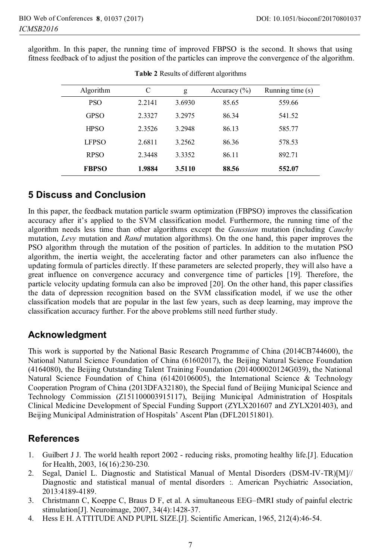algorithm. In this paper, the running time of improved FBPSO is the second. It shows that using fitness feedback of to adjust the position of the particles can improve the convergence of the algorithm.

| Algorithm    | C      | g      | Accuracy $(\% )$ | Running time $(s)$ |
|--------------|--------|--------|------------------|--------------------|
| <b>PSO</b>   | 2.2141 | 3.6930 | 85.65            | 559.66             |
| <b>GPSO</b>  | 2.3327 | 3.2975 | 86.34            | 541.52             |
| <b>HPSO</b>  | 2.3526 | 3.2948 | 86.13            | 585.77             |
| <b>LFPSO</b> | 2.6811 | 3.2562 | 86.36            | 578.53             |
| <b>RPSO</b>  | 2.3448 | 3.3352 | 86.11            | 892.71             |
| <b>FBPSO</b> | 1.9884 | 3.5110 | 88.56            | 552.07             |

**Table 2** Results of different algorithms

## **5 Discuss and Conclusion**

In this paper, the feedback mutation particle swarm optimization (FBPSO) improves the classification accuracy after it's applied to the SVM classification model. Furthermore, the running time of the algorithm needs less time than other algorithms except the *Gaussian* mutation (including *Cauchy* mutation, *Levy* mutation and *Rand* mutation algorithms). On the one hand, this paper improves the PSO algorithm through the mutation of the position of particles. In addition to the mutation PSO algorithm, the inertia weight, the accelerating factor and other parameters can also influence the updating formula of particles directly. If these parameters are selected properly, they will also have a great influence on convergence accuracy and convergence time of particles [19]. Therefore, the particle velocity updating formula can also be improved [20]. On the other hand, this paper classifies the data of depression recognition based on the SVM classification model, if we use the other classification models that are popular in the last few years, such as deep learning, may improve the classification accuracy further. For the above problems still need further study.

# **Acknowledgment**

This work is supported by the National Basic Research Programme of China (2014CB744600), the National Natural Science Foundation of China (61602017), the Beijing Natural Science Foundation (4164080), the Beijing Outstanding Talent Training Foundation (2014000020124G039), the National Natural Science Foundation of China (61420106005), the International Science & Technology Cooperation Program of China (2013DFA32180), the Special fund of Beijing Municipal Science and Technology Commission (Z151100003915117), Beijing Municipal Administration of Hospitals Clinical Medicine Development of Special Funding Support (ZYLX201607 and ZYLX201403), and Beijing Municipal Administration of Hospitals' Ascent Plan (DFL20151801).

# **References**

- 1. Guilbert J J. The world health report 2002 reducing risks, promoting healthy life.[J]. Education for Health, 2003, 16(16):230-230.
- 2. Segal, Daniel L. Diagnostic and Statistical Manual of Mental Disorders (DSM-IV-TR)[M]// Diagnostic and statistical manual of mental disorders :. American Psychiatric Association, 2013:4189-4189.
- 3. Christmann C, Koeppe C, Braus D F, et al. A simultaneous EEG–fMRI study of painful electric stimulation[J]. Neuroimage, 2007, 34(4):1428-37.
- 4. Hess E H. ATTITUDE AND PUPIL SIZE.[J]. Scientific American, 1965, 212(4):46-54.